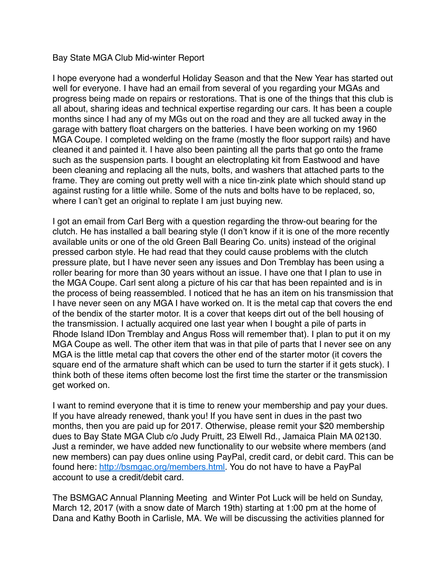## Bay State MGA Club Mid-winter Report

I hope everyone had a wonderful Holiday Season and that the New Year has started out well for everyone. I have had an email from several of you regarding your MGAs and progress being made on repairs or restorations. That is one of the things that this club is all about, sharing ideas and technical expertise regarding our cars. It has been a couple months since I had any of my MGs out on the road and they are all tucked away in the garage with battery float chargers on the batteries. I have been working on my 1960 MGA Coupe. I completed welding on the frame (mostly the floor support rails) and have cleaned it and painted it. I have also been painting all the parts that go onto the frame such as the suspension parts. I bought an electroplating kit from Eastwood and have been cleaning and replacing all the nuts, bolts, and washers that attached parts to the frame. They are coming out pretty well with a nice tin-zink plate which should stand up against rusting for a little while. Some of the nuts and bolts have to be replaced, so, where I can't get an original to replate I am just buying new.

I got an email from Carl Berg with a question regarding the throw-out bearing for the clutch. He has installed a ball bearing style (I don't know if it is one of the more recently available units or one of the old Green Ball Bearing Co. units) instead of the original pressed carbon style. He had read that they could cause problems with the clutch pressure plate, but I have never seen any issues and Don Tremblay has been using a roller bearing for more than 30 years without an issue. I have one that I plan to use in the MGA Coupe. Carl sent along a picture of his car that has been repainted and is in the process of being reassembled. I noticed that he has an item on his transmission that I have never seen on any MGA I have worked on. It is the metal cap that covers the end of the bendix of the starter motor. It is a cover that keeps dirt out of the bell housing of the transmission. I actually acquired one last year when I bought a pile of parts in Rhode Island IDon Tremblay and Angus Ross will remember that). I plan to put it on my MGA Coupe as well. The other item that was in that pile of parts that I never see on any MGA is the little metal cap that covers the other end of the starter motor (it covers the square end of the armature shaft which can be used to turn the starter if it gets stuck). I think both of these items often become lost the first time the starter or the transmission get worked on.

I want to remind everyone that it is time to renew your membership and pay your dues. If you have already renewed, thank you! If you have sent in dues in the past two months, then you are paid up for 2017. Otherwise, please remit your \$20 membership dues to Bay State MGA Club c/o Judy Pruitt, 23 Elwell Rd., Jamaica Plain MA 02130. Just a reminder, we have added new functionality to our website where members (and new members) can pay dues online using PayPal, credit card, or debit card. This can be found here: <http://bsmgac.org/members.html>. You do not have to have a PayPal account to use a credit/debit card.

The BSMGAC Annual Planning Meeting and Winter Pot Luck will be held on Sunday, March 12, 2017 (with a snow date of March 19th) starting at 1:00 pm at the home of Dana and Kathy Booth in Carlisle, MA. We will be discussing the activities planned for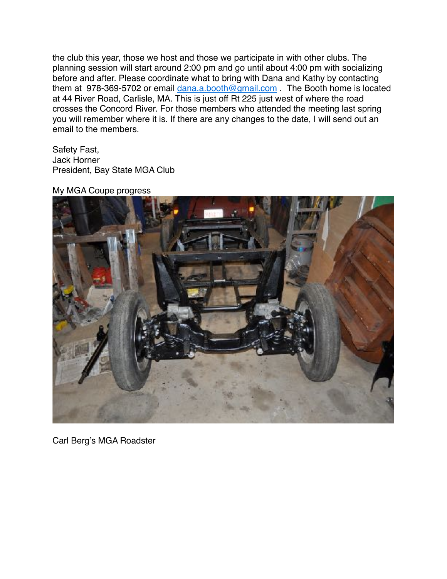the club this year, those we host and those we participate in with other clubs. The planning session will start around 2:00 pm and go until about 4:00 pm with socializing before and after. Please coordinate what to bring with Dana and Kathy by contacting them at 978-369-5702 or email [dana.a.booth@gmail.com](mailto:dana.a.booth@gmail.com) . The Booth home is located at 44 River Road, Carlisle, MA. This is just off Rt 225 just west of where the road crosses the Concord River. For those members who attended the meeting last spring you will remember where it is. If there are any changes to the date, I will send out an email to the members.

Safety Fast, Jack Horner President, Bay State MGA Club

My MGA Coupe progress



Carl Berg's MGA Roadster